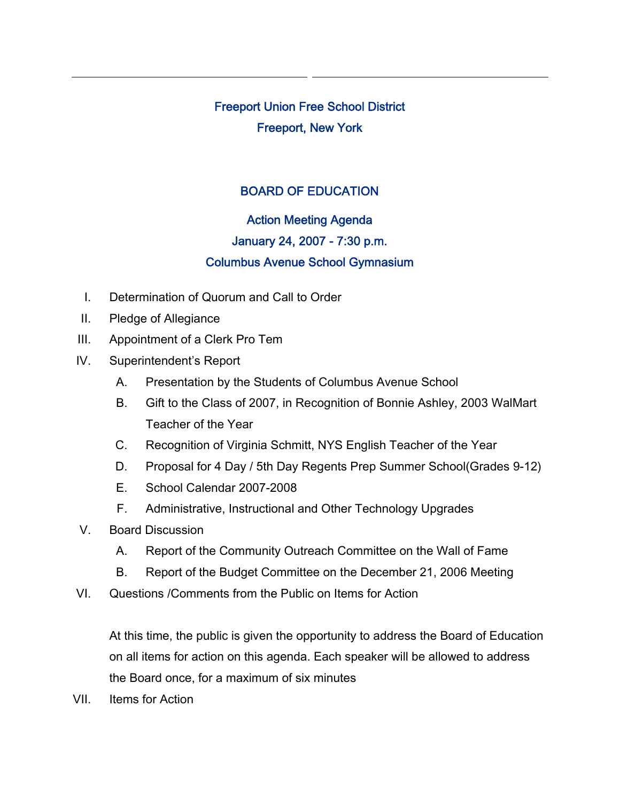Freeport Union Free School District Freeport, New York

# BOARD OF EDUCATION

# Action Meeting Agenda January 24, 2007 - 7:30 p.m. Columbus Avenue School Gymnasium

- I. Determination of Quorum and Call to Order
- II. Pledge of Allegiance
- III. Appointment of a Clerk Pro Tem
- IV. Superintendent's Report
	- A. Presentation by the Students of Columbus Avenue School
	- B. Gift to the Class of 2007, in Recognition of Bonnie Ashley, 2003 WalMart Teacher of the Year
	- C. Recognition of Virginia Schmitt, NYS English Teacher of the Year
	- D. Proposal for 4 Day / 5th Day Regents Prep Summer School(Grades 9-12)
	- E. School Calendar 2007-2008
	- F. Administrative, Instructional and Other Technology Upgrades
- V. Board Discussion
	- A. Report of the Community Outreach Committee on the Wall of Fame
	- B. Report of the Budget Committee on the December 21, 2006 Meeting
- VI. Questions /Comments from the Public on Items for Action

At this time, the public is given the opportunity to address the Board of Education on all items for action on this agenda. Each speaker will be allowed to address the Board once, for a maximum of six minutes

VII. Items for Action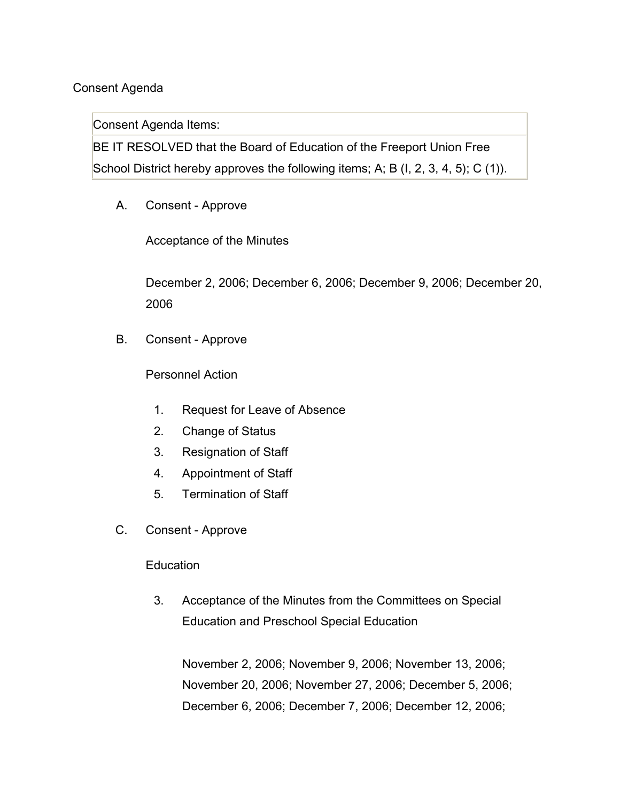# Consent Agenda

Consent Agenda Items:

BE IT RESOLVED that the Board of Education of the Freeport Union Free School District hereby approves the following items; A; B (I, 2, 3, 4, 5); C (1)).

A. Consent - Approve

Acceptance of the Minutes

December 2, 2006; December 6, 2006; December 9, 2006; December 20, 2006

B. Consent - Approve

Personnel Action

- 1. Request for Leave of Absence
- 2. Change of Status
- 3. Resignation of Staff
- 4. Appointment of Staff
- 5. Termination of Staff
- C. Consent Approve

#### **Education**

3. Acceptance of the Minutes from the Committees on Special Education and Preschool Special Education

November 2, 2006; November 9, 2006; November 13, 2006; November 20, 2006; November 27, 2006; December 5, 2006; December 6, 2006; December 7, 2006; December 12, 2006;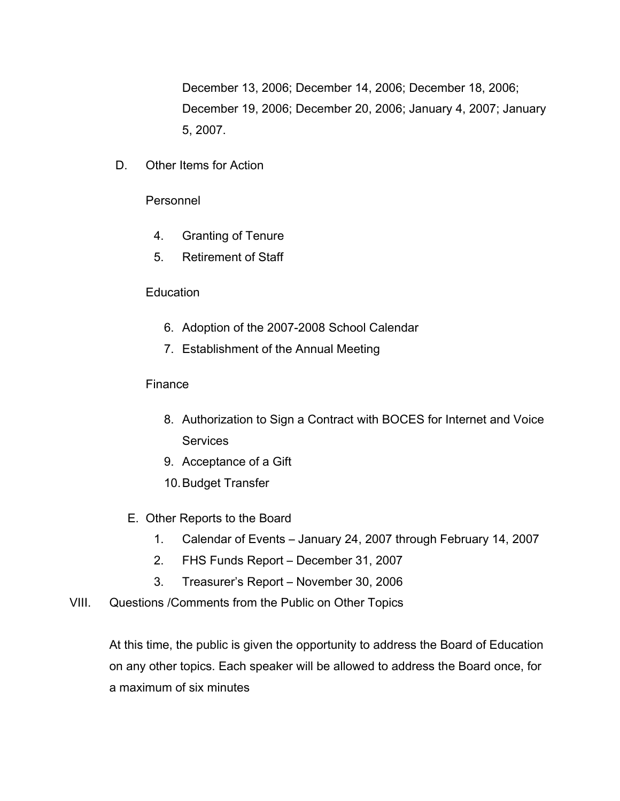December 13, 2006; December 14, 2006; December 18, 2006; December 19, 2006; December 20, 2006; January 4, 2007; January 5, 2007.

D. Other Items for Action

#### Personnel

- 4. Granting of Tenure
- 5. Retirement of Staff

# **Education**

- 6. Adoption of the 2007-2008 School Calendar
- 7. Establishment of the Annual Meeting

# Finance

- 8. Authorization to Sign a Contract with BOCES for Internet and Voice **Services**
- 9. Acceptance of a Gift
- 10.Budget Transfer
- E. Other Reports to the Board
	- 1. Calendar of Events January 24, 2007 through February 14, 2007
	- 2. FHS Funds Report December 31, 2007
	- 3. Treasurer's Report November 30, 2006
- VIII. Questions /Comments from the Public on Other Topics

At this time, the public is given the opportunity to address the Board of Education on any other topics. Each speaker will be allowed to address the Board once, for a maximum of six minutes